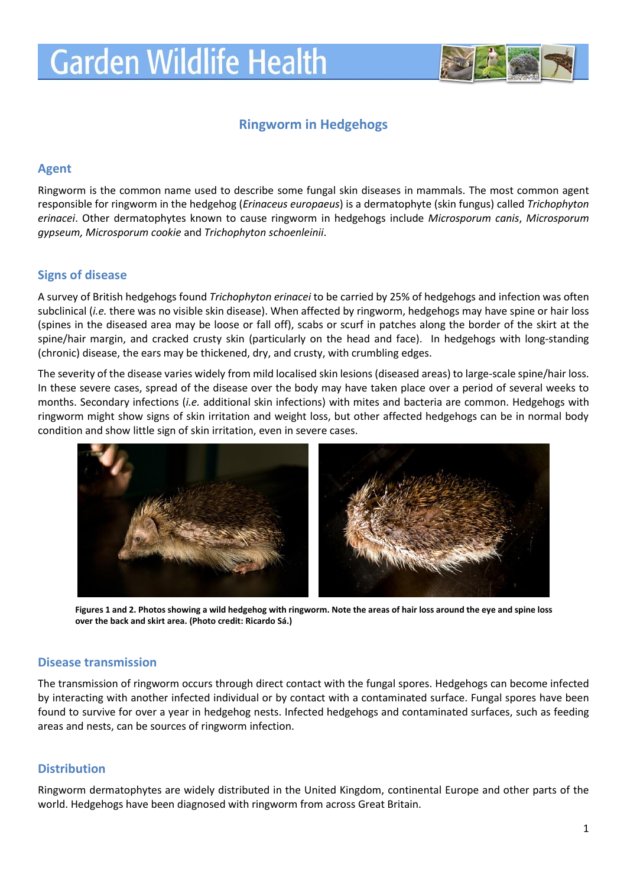

# **Ringworm in Hedgehogs**

# **Agent**

Ringworm is the common name used to describe some fungal skin diseases in mammals. The most common agent responsible for ringworm in the hedgehog (*Erinaceus europaeus*) is a dermatophyte (skin fungus) called *Trichophyton erinacei*. Other dermatophytes known to cause ringworm in hedgehogs include *Microsporum canis*, *Microsporum gypseum, Microsporum cookie* and *Trichophyton schoenleinii*.

# **Signs of disease**

A survey of British hedgehogs found *Trichophyton erinacei* to be carried by 25% of hedgehogs and infection was often subclinical (*i.e.* there was no visible skin disease). When affected by ringworm, hedgehogs may have spine or hair loss (spines in the diseased area may be loose or fall off), scabs or scurf in patches along the border of the skirt at the spine/hair margin, and cracked crusty skin (particularly on the head and face). In hedgehogs with long-standing (chronic) disease, the ears may be thickened, dry, and crusty, with crumbling edges.

The severity of the disease varies widely from mild localised skin lesions (diseased areas) to large-scale spine/hair loss. In these severe cases, spread of the disease over the body may have taken place over a period of several weeks to months. Secondary infections (*i.e.* additional skin infections) with mites and bacteria are common. Hedgehogs with ringworm might show signs of skin irritation and weight loss, but other affected hedgehogs can be in normal body condition and show little sign of skin irritation, even in severe cases.



**Figures 1 and 2. Photos showing a wild hedgehog with ringworm. Note the areas of hair loss around the eye and spine loss over the back and skirt area. (Photo credit: Ricardo Sá.)**

## **Disease transmission**

The transmission of ringworm occurs through direct contact with the fungal spores. Hedgehogs can become infected by interacting with another infected individual or by contact with a contaminated surface. Fungal spores have been found to survive for over a year in hedgehog nests. Infected hedgehogs and contaminated surfaces, such as feeding areas and nests, can be sources of ringworm infection.

## **Distribution**

Ringworm dermatophytes are widely distributed in the United Kingdom, continental Europe and other parts of the world. Hedgehogs have been diagnosed with ringworm from across Great Britain.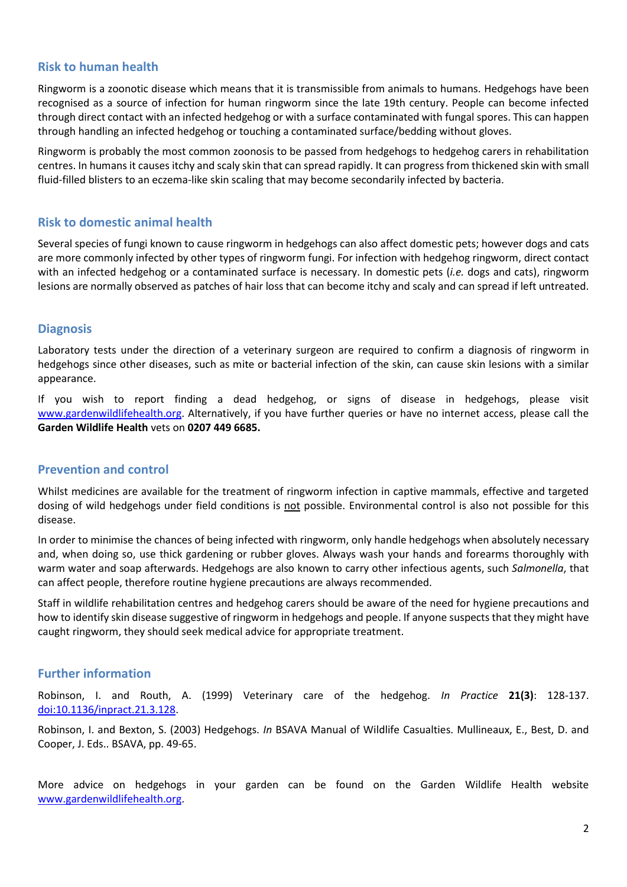# **Risk to human health**

Ringworm is a zoonotic disease which means that it is transmissible from animals to humans. Hedgehogs have been recognised as a source of infection for human ringworm since the late 19th century. People can become infected through direct contact with an infected hedgehog or with a surface contaminated with fungal spores. This can happen through handling an infected hedgehog or touching a contaminated surface/bedding without gloves.

Ringworm is probably the most common [zoonosis](http://wildpro.twycrosszoo.org/S/00Ref/KeywordsContents/z/zoonosis.htm) to be passed from hedgehogs to hedgehog carers in rehabilitation centres. In humans it causes itchy and scaly skin that can spread rapidly. It can progress from thickened skin with small fluid-filled blisters to an eczema-like skin scaling that may become secondarily infected by bacteria.

# **Risk to domestic animal health**

Several species of fungi known to cause ringworm in hedgehogs can also affect domestic pets; however dogs and cats are more commonly infected by other types of ringworm fungi. For infection with hedgehog ringworm, direct contact with an infected hedgehog or a contaminated surface is necessary. In domestic pets (*i.e.* dogs and cats), ringworm lesions are normally observed as patches of hair loss that can become itchy and scaly and can spread if left untreated.

# **Diagnosis**

Laboratory tests under the direction of a veterinary surgeon are required to confirm a diagnosis of ringworm in hedgehogs since other diseases, such as mite or bacterial infection of the skin, can cause skin lesions with a similar appearance.

If you wish to report finding a dead hedgehog, or signs of disease in hedgehogs, please visit [www.gardenwildlifehealth.org.](http://www.gardenwildlifehealth.org/) Alternatively, if you have further queries or have no internet access, please call the **Garden Wildlife Health** vets on **0207 449 6685.**

## **Prevention and control**

Whilst medicines are available for the treatment of ringworm infection in captive mammals, effective and targeted dosing of wild hedgehogs under field conditions is not possible. Environmental control is also not possible for this disease.

In order to minimise the chances of being infected with ringworm, only handle hedgehogs when absolutely necessary and, when doing so, use thick gardening or rubber gloves. Always wash your hands and forearms thoroughly with warm water and soap afterwards. Hedgehogs are also known to carry other infectious agents, such *Salmonella*, that can affect people, therefore routine hygiene precautions are always recommended.

Staff in wildlife rehabilitation centres and hedgehog carers should be aware of the need for hygiene precautions and how to identify skin disease suggestive of ringworm in hedgehogs and people. If anyone suspects that they might have caught ringworm, they should seek medical advice for appropriate treatment.

## **Further information**

Robinson, I. and Routh, A. (1999) Veterinary care of the hedgehog. *In Practice* **21(3)**: 128-137. [doi:10.1136/inpract.21.3.128.](http://inpractice.bmj.com/content/21/3/128.abstract)

Robinson, I. and Bexton, S. (2003) Hedgehogs. *In* BSAVA Manual of Wildlife Casualties. Mullineaux, E., Best, D. and Cooper, J. Eds.. BSAVA, pp. 49-65.

More advice on hedgehogs in your garden can be found on the Garden Wildlife Health website [www.gardenwildlifehealth.org.](http://www.gardenwildlifehealth.org/)